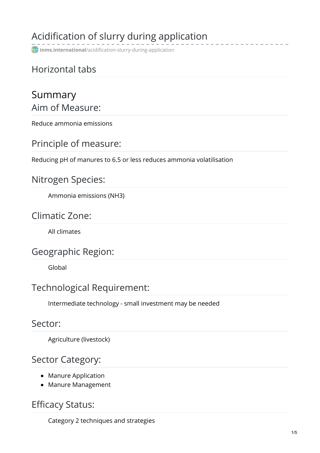# Acidification of slurry during application

**inms.international**[/acidification-slurry-during-application](http://www.inms.international/acidification-slurry-during-application)

## Horizontal tabs

## Summary Aim of Measure:

Reduce ammonia emissions

### Principle of measure:

Reducing pH of manures to 6.5 or less reduces ammonia volatilisation

### Nitrogen Species:

Ammonia emissions (NH3)

### Climatic Zone:

All climates

### Geographic Region:

Global

### Technological Requirement:

Intermediate technology - small investment may be needed

#### Sector:

Agriculture (livestock)

### Sector Category:

- Manure Application
- Manure Management

### Efficacy Status:

Category 2 techniques and strategies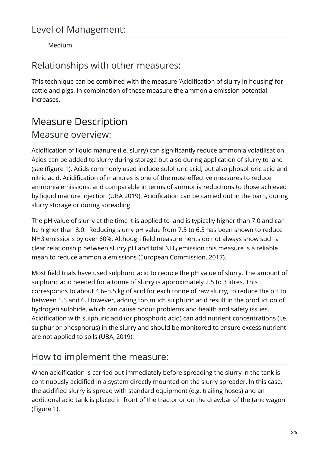#### Medium

## Relationships with other measures:

This technique can be combined with the measure 'Acidification of slurry in housing' for cattle and pigs. In combination of these measure the ammonia emission potential increases.

# Measure Description

# Measure overview:

Acidification of liquid manure (i.e. slurry) can significantly reduce ammonia volatilisation. Acids can be added to slurry during storage but also during application of slurry to land (see (figure 1). Acids commonly used include sulphuric acid, but also phosphoric acid and nitric acid. Acidification of manures is one of the most effective measures to reduce ammonia emissions, and comparable in terms of ammonia reductions to those achieved by liquid manure injection (UBA 2019). Acidification can be carried out in the barn, during slurry storage or during spreading.

The pH value of slurry at the time it is applied to land is typically higher than 7.0 and can be higher than 8.0. Reducing slurry pH value from 7.5 to 6.5 has been shown to reduce NH3 emissions by over 60%. Although field measurements do not always show such a clear relationship between slurry pH and total NH $_3$  emission this measure is a reliable mean to reduce ammonia emissions (European Commission, 2017).

Most field trials have used sulphuric acid to reduce the pH value of slurry. The amount of sulphuric acid needed for a tonne of slurry is approximately 2.5 to 3 litres. This corresponds to about 4.6–5.5 kg of acid for each tonne of raw slurry, to reduce the pH to between 5.5 and 6. However, adding too much sulphuric acid result in the production of hydrogen sulphide, which can cause odour problems and health and safety issues. Acidification with sulphuric acid (or phosphoric acid) can add nutrient concentrations (i.e. sulphur or phosphorus) in the slurry and should be monitored to ensure excess nutrient are not applied to soils (UBA, 2019).

## How to implement the measure:

When acidification is carried out immediately before spreading the slurry in the tank is continuously acidified in a system directly mounted on the slurry spreader. In this case, the acidified slurry is spread with standard equipment (e.g. trailing hoses) and an additional acid tank is placed in front of the tractor or on the drawbar of the tank wagon (Figure 1).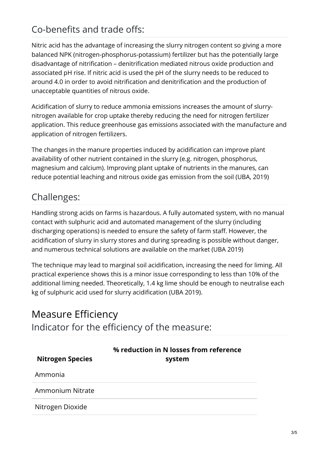## Co-benefits and trade offs:

Nitric acid has the advantage of increasing the slurry nitrogen content so giving a more balanced NPK (nitrogen-phosphorus-potassium) fertilizer but has the potentially large disadvantage of nitrification – denitrification mediated nitrous oxide production and associated pH rise. If nitric acid is used the pH of the slurry needs to be reduced to around 4.0 in order to avoid nitrification and denitrification and the production of unacceptable quantities of nitrous oxide.

Acidification of slurry to reduce ammonia emissions increases the amount of slurrynitrogen available for crop uptake thereby reducing the need for nitrogen fertilizer application. This reduce greenhouse gas emissions associated with the manufacture and application of nitrogen fertilizers.

The changes in the manure properties induced by acidification can improve plant availability of other nutrient contained in the slurry (e.g. nitrogen, phosphorus, magnesium and calcium). Improving plant uptake of nutrients in the manures, can reduce potential leaching and nitrous oxide gas emission from the soil (UBA, 2019)

## Challenges:

Handling strong acids on farms is hazardous. A fully automated system, with no manual contact with sulphuric acid and automated management of the slurry (including discharging operations) is needed to ensure the safety of farm staff. However, the acidification of slurry in slurry stores and during spreading is possible without danger, and numerous technical solutions are available on the market (UBA 2019)

The technique may lead to marginal soil acidification, increasing the need for liming. All practical experience shows this is a minor issue corresponding to less than 10% of the additional liming needed. Theoretically, 1.4 kg lime should be enough to neutralise each kg of sulphuric acid used for slurry acidification (UBA 2019).

## Measure Efficiency Indicator for the efficiency of the measure:

| <b>Nitrogen Species</b> | % reduction in N losses from reference<br>system |
|-------------------------|--------------------------------------------------|
| Ammonia                 |                                                  |
| Ammonium Nitrate        |                                                  |
| Nitrogen Dioxide        |                                                  |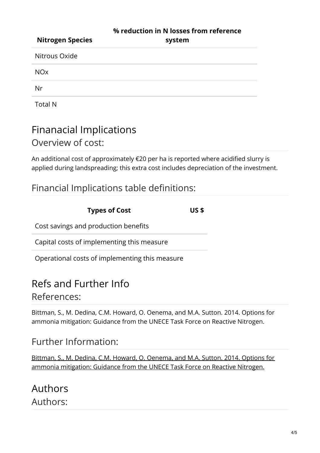| <b>Nitrogen Species</b> | % reduction in N losses from reference<br>system |
|-------------------------|--------------------------------------------------|
| Nitrous Oxide           |                                                  |
| <b>NO<sub>x</sub></b>   |                                                  |
| Nr                      |                                                  |
|                         |                                                  |

Total N

## Finanacial Implications Overview of cost:

An additional cost of approximately €20 per ha is reported where acidified slurry is applied during landspreading; this extra cost includes depreciation of the investment.

## Financial Implications table definitions:

| <b>Types of Cost</b>                           | US \$ |
|------------------------------------------------|-------|
| Cost savings and production benefits           |       |
| Capital costs of implementing this measure     |       |
| Operational costs of implementing this measure |       |

## Refs and Further Info

### References:

Bittman, S., M. Dedina, C.M. Howard, O. Oenema, and M.A. Sutton. 2014. Options for ammonia mitigation: Guidance from the UNECE Task Force on Reactive Nitrogen.

## Further Information:

Bittman, S., M. Dedina, C.M. Howard, O. Oenema, and M.A. Sutton. 2014. Options for ammonia [mitigation:](http://www.clrtap-tfrn.org/sites/clrtap-tfrn.org/files/documents/AGD_final_file.pdf) Guidance from the UNECE Task Force on Reactive Nitrogen.

Authors Authors: